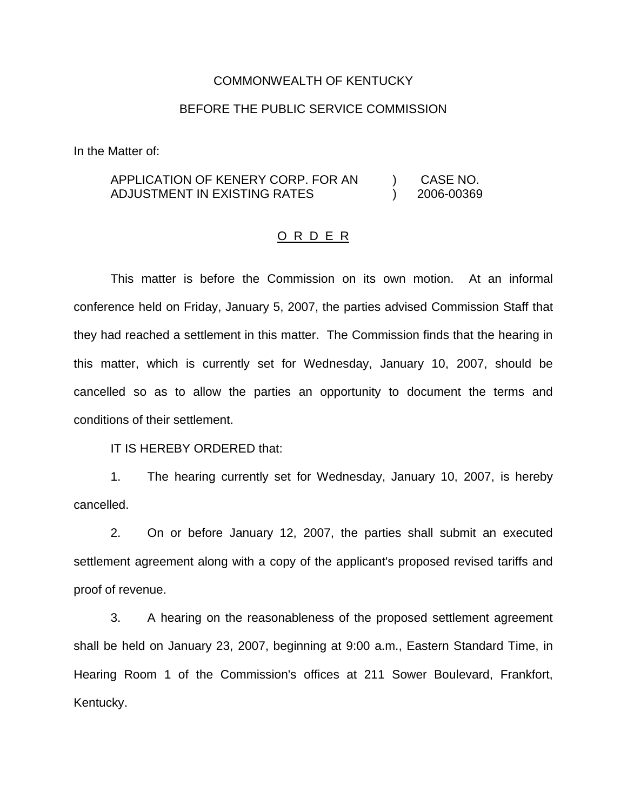## COMMONWEALTH OF KENTUCKY

## BEFORE THE PUBLIC SERVICE COMMISSION

In the Matter of:

## APPLICATION OF KENERY CORP. FOR AN ADJUSTMENT IN EXISTING RATES ) CASE NO. ) 2006-00369

## O R D E R

This matter is before the Commission on its own motion. At an informal conference held on Friday, January 5, 2007, the parties advised Commission Staff that they had reached a settlement in this matter. The Commission finds that the hearing in this matter, which is currently set for Wednesday, January 10, 2007, should be cancelled so as to allow the parties an opportunity to document the terms and conditions of their settlement.

IT IS HEREBY ORDERED that:

1. The hearing currently set for Wednesday, January 10, 2007, is hereby cancelled.

2. On or before January 12, 2007, the parties shall submit an executed settlement agreement along with a copy of the applicant's proposed revised tariffs and proof of revenue.

3. A hearing on the reasonableness of the proposed settlement agreement shall be held on January 23, 2007, beginning at 9:00 a.m., Eastern Standard Time, in Hearing Room 1 of the Commission's offices at 211 Sower Boulevard, Frankfort, Kentucky.